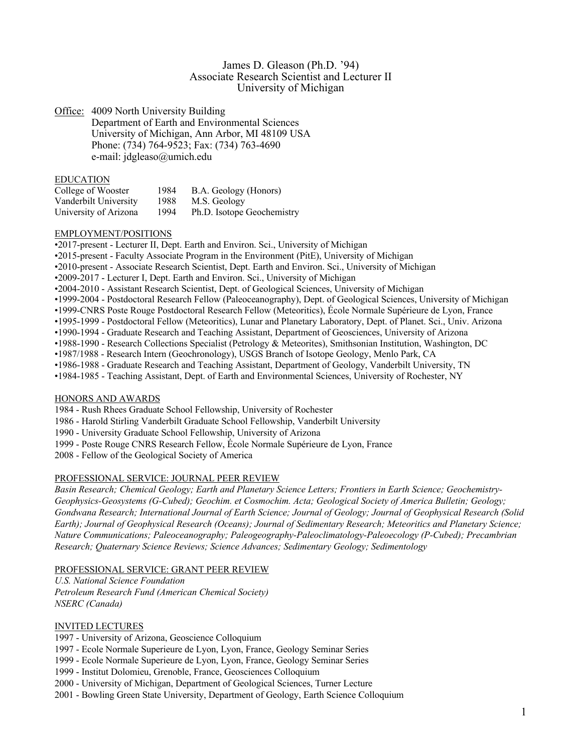# James D. Gleason (Ph.D. '94) Associate Research Scientist and Lecturer II University of Michigan

Office: 4009 North University Building

Department of Earth and Environmental Sciences University of Michigan, Ann Arbor, MI 48109 USA Phone: (734) 764-9523; Fax: (734) 763-4690 e-mail: jdgleaso@umich.edu

#### EDUCATION

| College of Wooster    | 1984 | B.A. Geology (Honors)      |
|-----------------------|------|----------------------------|
| Vanderbilt University | 1988 | M.S. Geology               |
| University of Arizona | 1994 | Ph.D. Isotope Geochemistry |

## EMPLOYMENT/POSITIONS

•2017-present - Lecturer II, Dept. Earth and Environ. Sci., University of Michigan

•2015-present - Faculty Associate Program in the Environment (PitE), University of Michigan

- •2010-present Associate Research Scientist, Dept. Earth and Environ. Sci., University of Michigan
- •2009-2017 Lecturer I, Dept. Earth and Environ. Sci., University of Michigan
- •2004-2010 Assistant Research Scientist, Dept. of Geological Sciences, University of Michigan
- •1999-2004 Postdoctoral Research Fellow (Paleoceanography), Dept. of Geological Sciences, University of Michigan
- •1999-CNRS Poste Rouge Postdoctoral Research Fellow (Meteoritics), École Normale Supérieure de Lyon, France
- •1995-1999 Postdoctoral Fellow (Meteoritics), Lunar and Planetary Laboratory, Dept. of Planet. Sci., Univ. Arizona
- •1990-1994 Graduate Research and Teaching Assistant, Department of Geosciences, University of Arizona
- •1988-1990 Research Collections Specialist (Petrology & Meteorites), Smithsonian Institution, Washington, DC
- •1987/1988 Research Intern (Geochronology), USGS Branch of Isotope Geology, Menlo Park, CA
- •1986-1988 Graduate Research and Teaching Assistant, Department of Geology, Vanderbilt University, TN
- •1984-1985 Teaching Assistant, Dept. of Earth and Environmental Sciences, University of Rochester, NY

## HONORS AND AWARDS

- 1984 Rush Rhees Graduate School Fellowship, University of Rochester
- 1986 Harold Stirling Vanderbilt Graduate School Fellowship, Vanderbilt University
- 1990 University Graduate School Fellowship, University of Arizona
- 1999 Poste Rouge CNRS Research Fellow, École Normale Supérieure de Lyon, France

2008 - Fellow of the Geological Society of America

## PROFESSIONAL SERVICE: JOURNAL PEER REVIEW

*Basin Research; Chemical Geology; Earth and Planetary Science Letters; Frontiers in Earth Science; Geochemistry-Geophysics-Geosystems (G-Cubed); Geochim. et Cosmochim. Acta; Geological Society of America Bulletin; Geology; Gondwana Research; International Journal of Earth Science; Journal of Geology; Journal of Geophysical Research (Solid Earth); Journal of Geophysical Research (Oceans); Journal of Sedimentary Research; Meteoritics and Planetary Science; Nature Communications; Paleoceanography; Paleogeography-Paleoclimatology-Paleoecology (P-Cubed); Precambrian Research; Quaternary Science Reviews; Science Advances; Sedimentary Geology; Sedimentology*

## PROFESSIONAL SERVICE: GRANT PEER REVIEW

*U.S. National Science Foundation Petroleum Research Fund (American Chemical Society) NSERC (Canada)*

# INVITED LECTURES

1997 - University of Arizona, Geoscience Colloquium

- 1997 Ecole Normale Superieure de Lyon, Lyon, France, Geology Seminar Series
- 1999 Ecole Normale Superieure de Lyon, Lyon, France, Geology Seminar Series

1999 - Institut Dolomieu, Grenoble, France, Geosciences Colloquium

- 2000 University of Michigan, Department of Geological Sciences, Turner Lecture
- 2001 Bowling Green State University, Department of Geology, Earth Science Colloquium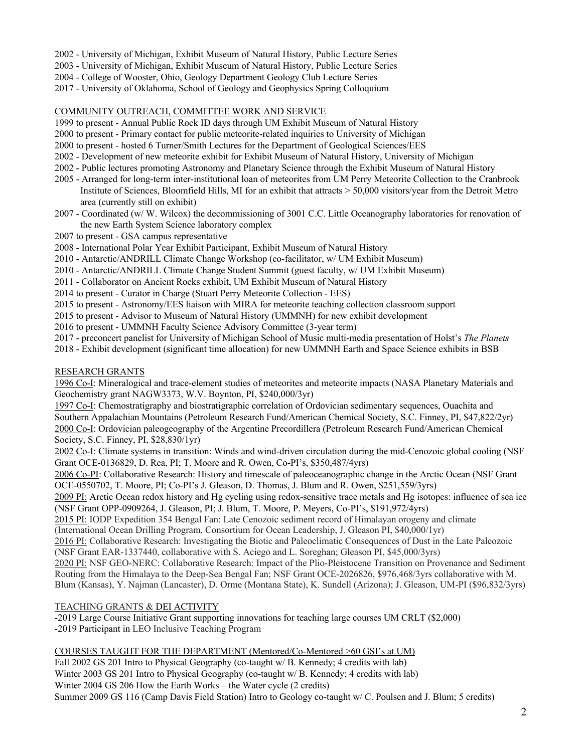- 2002 University of Michigan, Exhibit Museum of Natural History, Public Lecture Series
- 2003 University of Michigan, Exhibit Museum of Natural History, Public Lecture Series
- 2004 College of Wooster, Ohio, Geology Department Geology Club Lecture Series
- 2017 University of Oklahoma, School of Geology and Geophysics Spring Colloquium

## COMMUNITY OUTREACH, COMMITTEE WORK AND SERVICE

- 1999 to present Annual Public Rock ID days through UM Exhibit Museum of Natural History
- 2000 to present Primary contact for public meteorite-related inquiries to University of Michigan
- 2000 to present hosted 6 Turner/Smith Lectures for the Department of Geological Sciences/EES
- 2002 Development of new meteorite exhibit for Exhibit Museum of Natural History, University of Michigan
- 2002 Public lectures promoting Astronomy and Planetary Science through the Exhibit Museum of Natural History
- 2005 Arranged for long-term inter-institutional loan of meteorites from UM Perry Meteorite Collection to the Cranbrook Institute of Sciences, Bloomfield Hills, MI for an exhibit that attracts > 50,000 visitors/year from the Detroit Metro area (currently still on exhibit)
- 2007 Coordinated (w/ W. Wilcox) the decommissioning of 3001 C.C. Little Oceanography laboratories for renovation of the new Earth System Science laboratory complex
- 2007 to present GSA campus representative
- 2008 International Polar Year Exhibit Participant, Exhibit Museum of Natural History
- 2010 Antarctic/ANDRILL Climate Change Workshop (co-facilitator, w/ UM Exhibit Museum)
- 2010 Antarctic/ANDRILL Climate Change Student Summit (guest faculty, w/ UM Exhibit Museum)
- 2011 Collaborator on Ancient Rocks exhibit, UM Exhibit Museum of Natural History
- 2014 to present Curator in Charge (Stuart Perry Meteorite Collection EES)
- 2015 to present Astronomy/EES liaison with MIRA for meteorite teaching collection classroom support
- 2015 to present Advisor to Museum of Natural History (UMMNH) for new exhibit development
- 2016 to present UMMNH Faculty Science Advisory Committee (3-year term)
- 2017 preconcert panelist for University of Michigan School of Music multi-media presentation of Holst's *The Planets*
- 2018 Exhibit development (significant time allocation) for new UMMNH Earth and Space Science exhibits in BSB

## RESEARCH GRANTS

1996 Co-I: Mineralogical and trace-element studies of meteorites and meteorite impacts (NASA Planetary Materials and Geochemistry grant NAGW3373, W.V. Boynton, PI, \$240,000/3yr)

1997 Co-I: Chemostratigraphy and biostratigraphic correlation of Ordovician sedimentary sequences, Ouachita and Southern Appalachian Mountains (Petroleum Research Fund/American Chemical Society, S.C. Finney, PI, \$47,822/2yr) 2000 Co-I: Ordovician paleogeography of the Argentine Precordillera (Petroleum Research Fund/American Chemical Society, S.C. Finney, PI, \$28,830/1yr)

2002 Co-I: Climate systems in transition: Winds and wind-driven circulation during the mid-Cenozoic global cooling (NSF Grant OCE-0136829, D. Rea, PI; T. Moore and R. Owen, Co-PI's, \$350,487/4yrs)

2006 Co-PI: Collaborative Research: History and timescale of paleoceanographic change in the Arctic Ocean (NSF Grant OCE-0550702, T. Moore, PI; Co-PI's J. Gleason, D. Thomas, J. Blum and R. Owen, \$251,559/3yrs)

2009 PI: Arctic Ocean redox history and Hg cycling using redox-sensitive trace metals and Hg isotopes: influence of sea ice (NSF Grant OPP-0909264, J. Gleason, PI; J. Blum, T. Moore, P. Meyers, Co-PI's, \$191,972/4yrs)

2015 PI: IODP Expedition 354 Bengal Fan: Late Cenozoic sediment record of Himalayan orogeny and climate

(International Ocean Drilling Program, Consortium for Ocean Leadership, J. Gleason PI, \$40,000/1yr)

2016 PI: Collaborative Research: Investigating the Biotic and Paleoclimatic Consequences of Dust in the Late Paleozoic (NSF Grant EAR-1337440, collaborative with S. Aciego and L. Soreghan; Gleason PI, \$45,000/3yrs)

2020 PI: NSF GEO-NERC: Collaborative Research: Impact of the Plio-Pleistocene Transition on Provenance and Sediment Routing from the Himalaya to the Deep-Sea Bengal Fan; NSF Grant OCE-2026826, \$976,468/3yrs collaborative with M. Blum (Kansas), Y. Najman (Lancaster), D. Orme (Montana State), K. Sundell (Arizona); J. Gleason, UM-PI (\$96,832/3yrs)

# TEACHING GRANTS & DEI ACTIVITY

-2019 Large Course Initiative Grant supporting innovations for teaching large courses UM CRLT (\$2,000) -2019 Participant in LEO Inclusive Teaching Program

# COURSES TAUGHT FOR THE DEPARTMENT (Mentored/Co-Mentored >60 GSI's at UM)

Fall 2002 GS 201 Intro to Physical Geography (co-taught w/ B. Kennedy; 4 credits with lab) Winter 2003 GS 201 Intro to Physical Geography (co-taught w/ B. Kennedy; 4 credits with lab) Winter 2004 GS 206 How the Earth Works – the Water cycle (2 credits) Summer 2009 GS 116 (Camp Davis Field Station) Intro to Geology co-taught w/ C. Poulsen and J. Blum; 5 credits)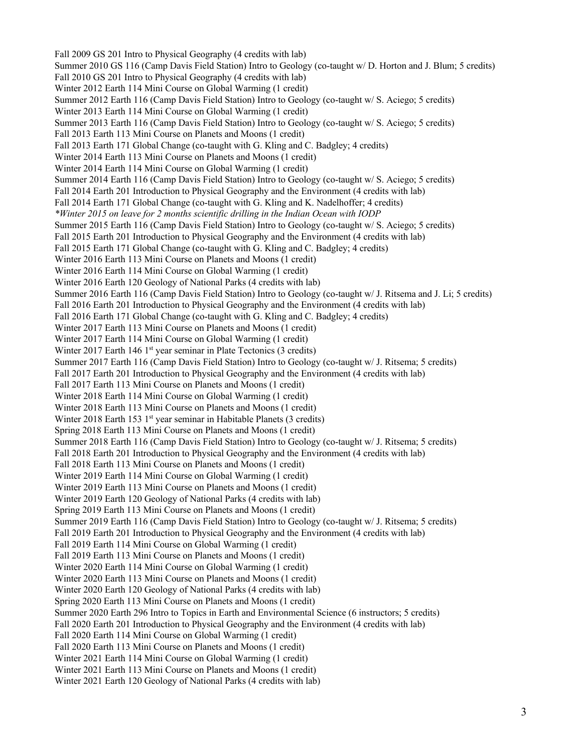Fall 2009 GS 201 Intro to Physical Geography (4 credits with lab) Summer 2010 GS 116 (Camp Davis Field Station) Intro to Geology (co-taught w/ D. Horton and J. Blum; 5 credits) Fall 2010 GS 201 Intro to Physical Geography (4 credits with lab) Winter 2012 Earth 114 Mini Course on Global Warming (1 credit) Summer 2012 Earth 116 (Camp Davis Field Station) Intro to Geology (co-taught w/ S. Aciego; 5 credits) Winter 2013 Earth 114 Mini Course on Global Warming (1 credit) Summer 2013 Earth 116 (Camp Davis Field Station) Intro to Geology (co-taught w/ S. Aciego; 5 credits) Fall 2013 Earth 113 Mini Course on Planets and Moons (1 credit) Fall 2013 Earth 171 Global Change (co-taught with G. Kling and C. Badgley; 4 credits) Winter 2014 Earth 113 Mini Course on Planets and Moons (1 credit) Winter 2014 Earth 114 Mini Course on Global Warming (1 credit) Summer 2014 Earth 116 (Camp Davis Field Station) Intro to Geology (co-taught w/ S. Aciego; 5 credits) Fall 2014 Earth 201 Introduction to Physical Geography and the Environment (4 credits with lab) Fall 2014 Earth 171 Global Change (co-taught with G. Kling and K. Nadelhoffer; 4 credits) *\*Winter 2015 on leave for 2 months scientific drilling in the Indian Ocean with IODP* Summer 2015 Earth 116 (Camp Davis Field Station) Intro to Geology (co-taught w/ S. Aciego; 5 credits) Fall 2015 Earth 201 Introduction to Physical Geography and the Environment (4 credits with lab) Fall 2015 Earth 171 Global Change (co-taught with G. Kling and C. Badgley; 4 credits) Winter 2016 Earth 113 Mini Course on Planets and Moons (1 credit) Winter 2016 Earth 114 Mini Course on Global Warming (1 credit) Winter 2016 Earth 120 Geology of National Parks (4 credits with lab) Summer 2016 Earth 116 (Camp Davis Field Station) Intro to Geology (co-taught w/ J. Ritsema and J. Li; 5 credits) Fall 2016 Earth 201 Introduction to Physical Geography and the Environment (4 credits with lab) Fall 2016 Earth 171 Global Change (co-taught with G. Kling and C. Badgley; 4 credits) Winter 2017 Earth 113 Mini Course on Planets and Moons (1 credit) Winter 2017 Earth 114 Mini Course on Global Warming (1 credit) Winter 2017 Earth 146 1<sup>st</sup> year seminar in Plate Tectonics (3 credits) Summer 2017 Earth 116 (Camp Davis Field Station) Intro to Geology (co-taught w/ J. Ritsema; 5 credits) Fall 2017 Earth 201 Introduction to Physical Geography and the Environment (4 credits with lab) Fall 2017 Earth 113 Mini Course on Planets and Moons (1 credit) Winter 2018 Earth 114 Mini Course on Global Warming (1 credit) Winter 2018 Earth 113 Mini Course on Planets and Moons (1 credit) Winter 2018 Earth 153 1<sup>st</sup> year seminar in Habitable Planets (3 credits) Spring 2018 Earth 113 Mini Course on Planets and Moons (1 credit) Summer 2018 Earth 116 (Camp Davis Field Station) Intro to Geology (co-taught w/ J. Ritsema; 5 credits) Fall 2018 Earth 201 Introduction to Physical Geography and the Environment (4 credits with lab) Fall 2018 Earth 113 Mini Course on Planets and Moons (1 credit) Winter 2019 Earth 114 Mini Course on Global Warming (1 credit) Winter 2019 Earth 113 Mini Course on Planets and Moons (1 credit) Winter 2019 Earth 120 Geology of National Parks (4 credits with lab) Spring 2019 Earth 113 Mini Course on Planets and Moons (1 credit) Summer 2019 Earth 116 (Camp Davis Field Station) Intro to Geology (co-taught w/ J. Ritsema; 5 credits) Fall 2019 Earth 201 Introduction to Physical Geography and the Environment (4 credits with lab) Fall 2019 Earth 114 Mini Course on Global Warming (1 credit) Fall 2019 Earth 113 Mini Course on Planets and Moons (1 credit) Winter 2020 Earth 114 Mini Course on Global Warming (1 credit) Winter 2020 Earth 113 Mini Course on Planets and Moons (1 credit) Winter 2020 Earth 120 Geology of National Parks (4 credits with lab) Spring 2020 Earth 113 Mini Course on Planets and Moons (1 credit) Summer 2020 Earth 296 Intro to Topics in Earth and Environmental Science (6 instructors; 5 credits) Fall 2020 Earth 201 Introduction to Physical Geography and the Environment (4 credits with lab) Fall 2020 Earth 114 Mini Course on Global Warming (1 credit) Fall 2020 Earth 113 Mini Course on Planets and Moons (1 credit) Winter 2021 Earth 114 Mini Course on Global Warming (1 credit) Winter 2021 Earth 113 Mini Course on Planets and Moons (1 credit) Winter 2021 Earth 120 Geology of National Parks (4 credits with lab)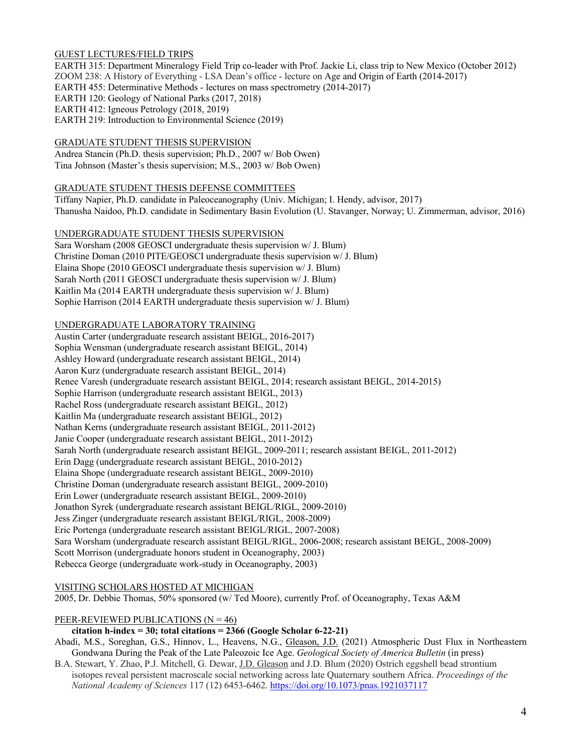## GUEST LECTURES/FIELD TRIPS

EARTH 315: Department Mineralogy Field Trip co-leader with Prof. Jackie Li, class trip to New Mexico (October 2012) ZOOM 238: A History of Everything - LSA Dean's office - lecture on Age and Origin of Earth (2014-2017) EARTH 455: Determinative Methods - lectures on mass spectrometry (2014-2017) EARTH 120: Geology of National Parks (2017, 2018) EARTH 412: Igneous Petrology (2018, 2019) EARTH 219: Introduction to Environmental Science (2019)

#### GRADUATE STUDENT THESIS SUPERVISION

Andrea Stancin (Ph.D. thesis supervision; Ph.D., 2007 w/ Bob Owen) Tina Johnson (Master's thesis supervision; M.S., 2003 w/ Bob Owen)

#### GRADUATE STUDENT THESIS DEFENSE COMMITTEES

Tiffany Napier, Ph.D. candidate in Paleoceanography (Univ. Michigan; I. Hendy, advisor, 2017) Thanusha Naidoo, Ph.D. candidate in Sedimentary Basin Evolution (U. Stavanger, Norway; U. Zimmerman, advisor, 2016)

#### UNDERGRADUATE STUDENT THESIS SUPERVISION

Sara Worsham (2008 GEOSCI undergraduate thesis supervision w/ J. Blum) Christine Doman (2010 PITE/GEOSCI undergraduate thesis supervision w/ J. Blum) Elaina Shope (2010 GEOSCI undergraduate thesis supervision w/ J. Blum) Sarah North (2011 GEOSCI undergraduate thesis supervision w/ J. Blum) Kaitlin Ma (2014 EARTH undergraduate thesis supervision w/ J. Blum) Sophie Harrison (2014 EARTH undergraduate thesis supervision w/ J. Blum)

#### UNDERGRADUATE LABORATORY TRAINING

Austin Carter (undergraduate research assistant BEIGL, 2016-2017) Sophia Wensman (undergraduate research assistant BEIGL, 2014) Ashley Howard (undergraduate research assistant BEIGL, 2014) Aaron Kurz (undergraduate research assistant BEIGL, 2014) Renee Varesh (undergraduate research assistant BEIGL, 2014; research assistant BEIGL, 2014-2015) Sophie Harrison (undergraduate research assistant BEIGL, 2013) Rachel Ross (undergraduate research assistant BEIGL, 2012) Kaitlin Ma (undergraduate research assistant BEIGL, 2012) Nathan Kerns (undergraduate research assistant BEIGL, 2011-2012) Janie Cooper (undergraduate research assistant BEIGL, 2011-2012) Sarah North (undergraduate research assistant BEIGL, 2009-2011; research assistant BEIGL, 2011-2012) Erin Dagg (undergraduate research assistant BEIGL, 2010-2012) Elaina Shope (undergraduate research assistant BEIGL, 2009-2010) Christine Doman (undergraduate research assistant BEIGL, 2009-2010) Erin Lower (undergraduate research assistant BEIGL, 2009-2010) Jonathon Syrek (undergraduate research assistant BEIGL/RIGL, 2009-2010) Jess Zinger (undergraduate research assistant BEIGL/RIGL, 2008-2009) Eric Portenga (undergraduate research assistant BEIGL/RIGL, 2007-2008) Sara Worsham (undergraduate research assistant BEIGL/RIGL, 2006-2008; research assistant BEIGL, 2008-2009) Scott Morrison (undergraduate honors student in Oceanography, 2003) Rebecca George (undergraduate work-study in Oceanography, 2003)

#### VISITING SCHOLARS HOSTED AT MICHIGAN

2005, Dr. Debbie Thomas, 50% sponsored (w/ Ted Moore), currently Prof. of Oceanography, Texas A&M

#### PEER-REVIEWED PUBLICATIONS ( $N = 46$ )

#### **citation h-index = 30; total citations = 2366 (Google Scholar 6-22-21)**

Abadi, M.S., Soreghan, G.S., Hinnov, L., Heavens, N.G., Gleason, J.D. (2021) Atmospheric Dust Flux in Northeastern Gondwana During the Peak of the Late Paleozoic Ice Age. *Geological Society of America Bulletin* (in press)

B.A. Stewart, Y. Zhao, P.J. Mitchell, G. Dewar, J.D. Gleason and J.D. Blum (2020) Ostrich eggshell bead strontium isotopes reveal persistent macroscale social networking across late Quaternary southern Africa. *Proceedings of the National Academy of Sciences* 117 (12) 6453-6462. https://doi.org/10.1073/pnas.1921037117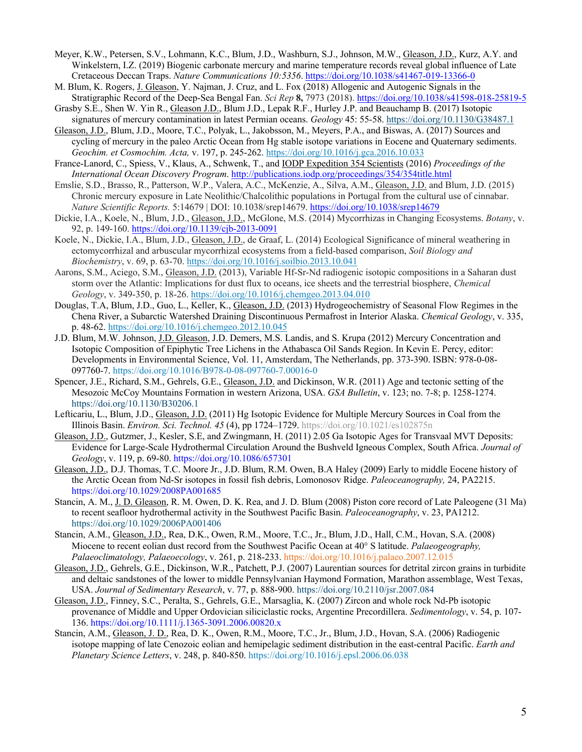- Meyer, K.W., Petersen, S.V., Lohmann, K.C., Blum, J.D., Washburn, S.J., Johnson, M.W., Gleason, J.D., Kurz, A.Y. and Winkelstern, I.Z. (2019) Biogenic carbonate mercury and marine temperature records reveal global influence of Late Cretaceous Deccan Traps. *Nature Communications 10:5356*. https://doi.org/10.1038/s41467-019-13366-0
- M. Blum, K. Rogers, J. Gleason, Y. Najman, J. Cruz, and L. Fox (2018) Allogenic and Autogenic Signals in the Stratigraphic Record of the Deep-Sea Bengal Fan. *Sci Rep* **8,** 7973 (2018). https://doi.org/10.1038/s41598-018-25819-5
- Grasby S.E., Shen W. Yin R., Gleason J.D., Blum J.D., Lepak R.F., Hurley J.P. and Beauchamp B. (2017) Isotopic signatures of mercury contamination in latest Permian oceans. *Geology* 45: 55-58. https://doi.org/10.1130/G38487.1
- Gleason, J.D., Blum, J.D., Moore, T.C., Polyak, L., Jakobsson, M., Meyers, P.A., and Biswas, A. (2017) Sources and cycling of mercury in the paleo Arctic Ocean from Hg stable isotope variations in Eocene and Quaternary sediments. *Geochim. et Cosmochim. Acta,* v. 197, p. 245-262. https://doi.org/10.1016/j.gca.2016.10.033
- France-Lanord, C., Spiess, V., Klaus, A., Schwenk, T., and IODP Expedition 354 Scientists (2016) *Proceedings of the International Ocean Discovery Program*. http://publications.iodp.org/proceedings/354/354title.html
- Emslie, S.D., Brasso, R., Patterson, W.P., Valera, A.C., McKenzie, A., Silva, A.M., Gleason, J.D. and Blum, J.D. (2015) Chronic mercury exposure in Late Neolithic/Chalcolithic populations in Portugal from the cultural use of cinnabar. *Nature Scientific Reports.* 5:14679 | DOI: 10.1038/srep14679. https://doi.org/10.1038/srep14679
- Dickie, I.A., Koele, N., Blum, J.D., Gleason, J.D., McGlone, M.S. (2014) Mycorrhizas in Changing Ecosystems. *Botany*, v. 92, p. 149-160. https://doi.org/10.1139/cjb-2013-0091
- Koele, N., Dickie, I.A., Blum, J.D., Gleason, J.D., de Graaf, L. (2014) Ecological Significance of mineral weathering in ectomycorrhizal and arbuscular mycorrhizal ecosystems from a field-based comparison, *Soil Biology and Biochemistry*, v. 69, p. 63-70. https://doi.org/10.1016/j.soilbio.2013.10.041
- Aarons, S.M., Aciego, S.M., Gleason, J.D. (2013), Variable Hf-Sr-Nd radiogenic isotopic compositions in a Saharan dust storm over the Atlantic: Implications for dust flux to oceans, ice sheets and the terrestrial biosphere, *Chemical Geology*, v. 349-350, p. 18-26. https://doi.org/10.1016/j.chemgeo.2013.04.010
- Douglas, T.A, Blum, J.D., Guo, L., Keller, K., Gleason, J.D. (2013) Hydrogeochemistry of Seasonal Flow Regimes in the Chena River, a Subarctic Watershed Draining Discontinuous Permafrost in Interior Alaska. *Chemical Geology*, v. 335, p. 48-62. https://doi.org/10.1016/j.chemgeo.2012.10.045
- J.D. Blum, M.W. Johnson, J.D. Gleason, J.D. Demers, M.S. Landis, and S. Krupa (2012) Mercury Concentration and Isotopic Composition of Epiphytic Tree Lichens in the Athabasca Oil Sands Region. In Kevin E. Percy, editor: Developments in Environmental Science, Vol. 11, Amsterdam, The Netherlands, pp. 373-390. ISBN: 978-0-08- 097760-7. https://doi.org/10.1016/B978-0-08-097760-7.00016-0
- Spencer, J.E., Richard, S.M., Gehrels, G.E., Gleason, J.D. and Dickinson, W.R. (2011) Age and tectonic setting of the Mesozoic McCoy Mountains Formation in western Arizona, USA. *GSA Bulletin*, v. 123; no. 7-8; p. 1258-1274. https://doi.org/10.1130/B30206.1
- Lefticariu, L., Blum, J.D., Gleason, J.D. (2011) Hg Isotopic Evidence for Multiple Mercury Sources in Coal from the Illinois Basin. *Environ. Sci. Technol. 45* (4), pp 1724–1729. https://doi.org/10.1021/es102875n
- Gleason, J.D., Gutzmer, J., Kesler, S.E, and Zwingmann, H. (2011) 2.05 Ga Isotopic Ages for Transvaal MVT Deposits: Evidence for Large-Scale Hydrothermal Circulation Around the Bushveld Igneous Complex, South Africa. *Journal of Geology*, v. 119, p. 69-80. https://doi.org/10.1086/657301
- Gleason, J.D., D.J. Thomas, T.C. Moore Jr., J.D. Blum, R.M. Owen, B.A Haley (2009) Early to middle Eocene history of the Arctic Ocean from Nd-Sr isotopes in fossil fish debris, Lomonosov Ridge. *Paleoceanography,* 24, PA2215. https://doi.org/10.1029/2008PA001685
- Stancin, A. M., J. D. Gleason, R. M. Owen, D. K. Rea, and J. D. Blum (2008) Piston core record of Late Paleogene (31 Ma) to recent seafloor hydrothermal activity in the Southwest Pacific Basin. *Paleoceanography*, v. 23, PA1212. https://doi.org/10.1029/2006PA001406
- Stancin, A.M., Gleason, J.D., Rea, D.K., Owen, R.M., Moore, T.C., Jr., Blum, J.D., Hall, C.M., Hovan, S.A. (2008) Miocene to recent eolian dust record from the Southwest Pacific Ocean at 40° S latitude. *Palaeogeography, Palaeoclimatology, Palaeoecology*, v. 261, p. 218-233. https://doi.org/10.1016/j.palaeo.2007.12.015
- Gleason, J.D., Gehrels, G.E., Dickinson, W.R., Patchett, P.J. (2007) Laurentian sources for detrital zircon grains in turbidite and deltaic sandstones of the lower to middle Pennsylvanian Haymond Formation, Marathon assemblage, West Texas, USA. *Journal of Sedimentary Research*, v. 77, p. 888-900. https://doi.org/10.2110/jsr.2007.084
- Gleason, J.D., Finney, S.C., Peralta, S., Gehrels, G.E., Marsaglia, K. (2007) Zircon and whole rock Nd-Pb isotopic provenance of Middle and Upper Ordovician siliciclastic rocks, Argentine Precordillera. *Sedimentology*, v. 54, p. 107- 136. https://doi.org/10.1111/j.1365-3091.2006.00820.x
- Stancin, A.M., Gleason, J. D., Rea, D. K., Owen, R.M., Moore, T.C., Jr., Blum, J.D., Hovan, S.A. (2006) Radiogenic isotope mapping of late Cenozoic eolian and hemipelagic sediment distribution in the east-central Pacific. *Earth and Planetary Science Letters*, v. 248, p. 840-850. https://doi.org/10.1016/j.epsl.2006.06.038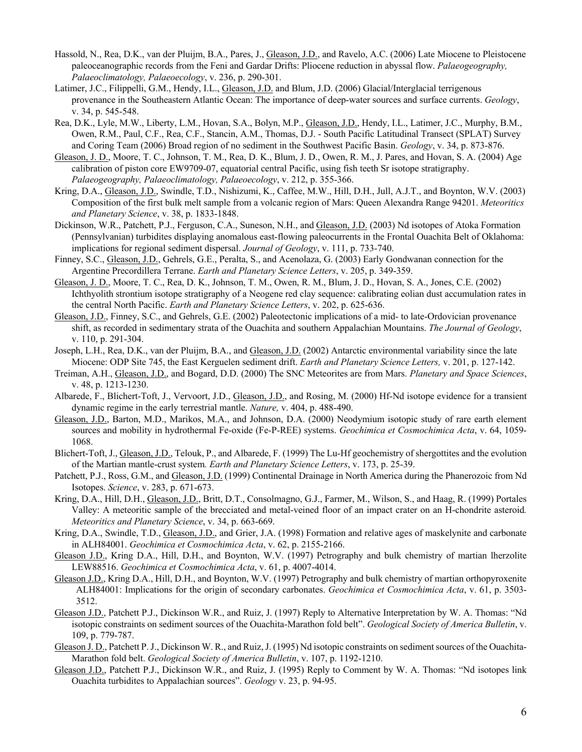- Hassold, N., Rea, D.K., van der Pluijm, B.A., Pares, J., Gleason, J.D., and Ravelo, A.C. (2006) Late Miocene to Pleistocene paleoceanographic records from the Feni and Gardar Drifts: Pliocene reduction in abyssal flow. *Palaeogeography, Palaeoclimatology, Palaeoecology*, v. 236, p. 290-301.
- Latimer, J.C., Filippelli, G.M., Hendy, I.L., Gleason, J.D. and Blum, J.D. (2006) Glacial/Interglacial terrigenous provenance in the Southeastern Atlantic Ocean: The importance of deep-water sources and surface currents. *Geology*, v. 34, p. 545-548.
- Rea, D.K., Lyle, M.W., Liberty, L.M., Hovan, S.A., Bolyn, M.P., Gleason, J.D., Hendy, I.L., Latimer, J.C., Murphy, B.M., Owen, R.M., Paul, C.F., Rea, C.F., Stancin, A.M., Thomas, D.J. - South Pacific Latitudinal Transect (SPLAT) Survey and Coring Team (2006) Broad region of no sediment in the Southwest Pacific Basin. *Geology*, v. 34, p. 873-876.
- Gleason, J. D., Moore, T. C., Johnson, T. M., Rea, D. K., Blum, J. D., Owen, R. M., J. Pares, and Hovan, S. A. (2004) Age calibration of piston core EW9709-07, equatorial central Pacific, using fish teeth Sr isotope stratigraphy. *Palaeogeography, Palaeoclimatology, Palaeoecology*, v. 212, p. 355-366.
- Kring, D.A., Gleason, J.D., Swindle, T.D., Nishizumi, K., Caffee, M.W., Hill, D.H., Jull, A.J.T., and Boynton, W.V. (2003) Composition of the first bulk melt sample from a volcanic region of Mars: Queen Alexandra Range 94201. *Meteoritics and Planetary Science*, v. 38, p. 1833-1848.
- Dickinson, W.R., Patchett, P.J., Ferguson, C.A., Suneson, N.H., and Gleason, J.D. (2003) Nd isotopes of Atoka Formation (Pennsylvanian) turbidites displaying anomalous east-flowing paleocurrents in the Frontal Ouachita Belt of Oklahoma: implications for regional sediment dispersal. *Journal of Geology*, v. 111, p. 733-740.
- Finney, S.C., Gleason, J.D., Gehrels, G.E., Peralta, S., and Acenolaza, G. (2003) Early Gondwanan connection for the Argentine Precordillera Terrane. *Earth and Planetary Science Letters*, v. 205, p. 349-359.
- Gleason, J. D., Moore, T. C., Rea, D. K., Johnson, T. M., Owen, R. M., Blum, J. D., Hovan, S. A., Jones, C.E. (2002) Ichthyolith strontium isotope stratigraphy of a Neogene red clay sequence: calibrating eolian dust accumulation rates in the central North Pacific. *Earth and Planetary Science Letters*, v. 202, p. 625-636.
- Gleason, J.D., Finney, S.C., and Gehrels, G.E. (2002) Paleotectonic implications of a mid- to late-Ordovician provenance shift, as recorded in sedimentary strata of the Ouachita and southern Appalachian Mountains. *The Journal of Geology*, v. 110, p. 291-304.
- Joseph, L.H., Rea, D.K., van der Pluijm, B.A., and Gleason, J.D. (2002) Antarctic environmental variability since the late Miocene: ODP Site 745, the East Kerguelen sediment drift. *Earth and Planetary Science Letters,* v. 201, p. 127-142.
- Treiman, A.H., Gleason, J.D., and Bogard, D.D. (2000) The SNC Meteorites are from Mars. *Planetary and Space Sciences*, v. 48, p. 1213-1230.
- Albarede, F., Blichert-Toft, J., Vervoort, J.D., Gleason, J.D., and Rosing, M. (2000) Hf-Nd isotope evidence for a transient dynamic regime in the early terrestrial mantle. *Nature,* v. 404, p. 488-490.
- Gleason, J.D., Barton, M.D., Marikos, M.A., and Johnson, D.A. (2000) Neodymium isotopic study of rare earth element sources and mobility in hydrothermal Fe-oxide (Fe-P-REE) systems. *Geochimica et Cosmochimica Acta*, v. 64, 1059- 1068.
- Blichert-Toft, J., Gleason, J.D., Telouk, P., and Albarede, F. (1999) The Lu-Hf geochemistry of shergottites and the evolution of the Martian mantle-crust system*. Earth and Planetary Science Letters*, v. 173, p. 25-39.
- Patchett, P.J., Ross, G.M., and Gleason, J.D. (1999) Continental Drainage in North America during the Phanerozoic from Nd Isotopes. *Science*, v. 283, p. 671-673.
- Kring, D.A., Hill, D.H., Gleason, J.D., Britt, D.T., Consolmagno, G.J., Farmer, M., Wilson, S., and Haag, R. (1999) Portales Valley: A meteoritic sample of the brecciated and metal-veined floor of an impact crater on an H-chondrite asteroid*. Meteoritics and Planetary Science*, v. 34, p. 663-669.
- Kring, D.A., Swindle, T.D., Gleason, J.D., and Grier, J.A. (1998) Formation and relative ages of maskelynite and carbonate in ALH84001. *Geochimica et Cosmochimica Acta*, v. 62, p. 2155-2166.
- Gleason J.D., Kring D.A., Hill, D.H., and Boynton, W.V. (1997) Petrography and bulk chemistry of martian lherzolite LEW88516. *Geochimica et Cosmochimica Acta*, v. 61, p. 4007-4014.
- Gleason J.D., Kring D.A., Hill, D.H., and Boynton, W.V. (1997) Petrography and bulk chemistry of martian orthopyroxenite ALH84001: Implications for the origin of secondary carbonates. *Geochimica et Cosmochimica Acta*, v. 61, p. 3503- 3512.
- Gleason J.D., Patchett P.J., Dickinson W.R., and Ruiz, J. (1997) Reply to Alternative Interpretation by W. A. Thomas: "Nd isotopic constraints on sediment sources of the Ouachita-Marathon fold belt". *Geological Society of America Bulletin*, v. 109, p. 779-787.
- Gleason J. D., Patchett P. J., Dickinson W. R., and Ruiz, J. (1995) Nd isotopic constraints on sediment sources of the Ouachita-Marathon fold belt. *Geological Society of America Bulletin*, v. 107, p. 1192-1210.
- Gleason J.D., Patchett P.J., Dickinson W.R., and Ruiz, J. (1995) Reply to Comment by W. A. Thomas: "Nd isotopes link Ouachita turbidites to Appalachian sources". *Geology* v. 23, p. 94-95.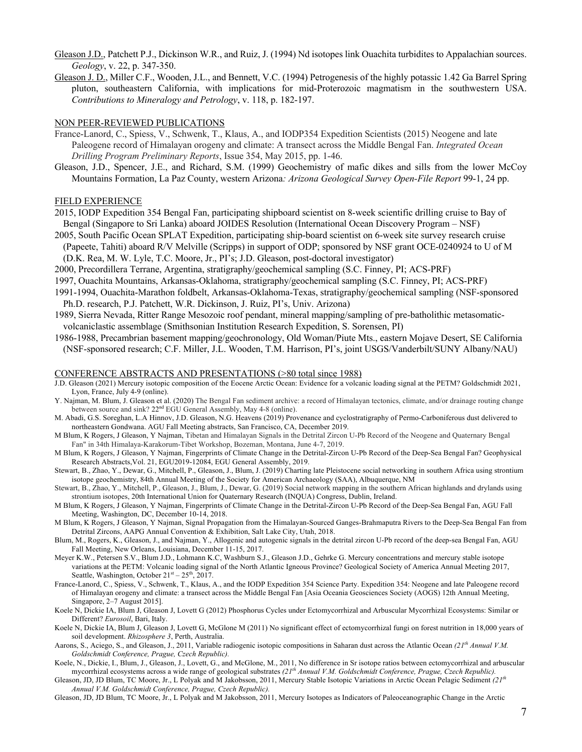- Gleason J.D., Patchett P.J., Dickinson W.R., and Ruiz, J. (1994) Nd isotopes link Ouachita turbidites to Appalachian sources. *Geology*, v. 22, p. 347-350.
- Gleason J. D., Miller C.F., Wooden, J.L., and Bennett, V.C. (1994) Petrogenesis of the highly potassic 1.42 Ga Barrel Spring pluton, southeastern California, with implications for mid-Proterozoic magmatism in the southwestern USA. *Contributions to Mineralogy and Petrology*, v. 118, p. 182-197.

#### NON PEER-REVIEWED PUBLICATIONS

- France-Lanord, C., Spiess, V., Schwenk, T., Klaus, A., and IODP354 Expedition Scientists (2015) Neogene and late Paleogene record of Himalayan orogeny and climate: A transect across the Middle Bengal Fan. *Integrated Ocean Drilling Program Preliminary Reports*, Issue 354, May 2015, pp. 1-46.
- Gleason, J.D., Spencer, J.E., and Richard, S.M. (1999) Geochemistry of mafic dikes and sills from the lower McCoy Mountains Formation, La Paz County, western Arizona*: Arizona Geological Survey Open-File Report* 99-1, 24 pp.

#### FIELD EXPERIENCE

- 2015, IODP Expedition 354 Bengal Fan, participating shipboard scientist on 8-week scientific drilling cruise to Bay of Bengal (Singapore to Sri Lanka) aboard JOIDES Resolution (International Ocean Discovery Program – NSF)
- 2005, South Pacific Ocean SPLAT Expedition, participating ship-board scientist on 6-week site survey research cruise (Papeete, Tahiti) aboard R/V Melville (Scripps) in support of ODP; sponsored by NSF grant OCE-0240924 to U of M
	- (D.K. Rea, M. W. Lyle, T.C. Moore, Jr., PI's; J.D. Gleason, post-doctoral investigator)
- 2000, Precordillera Terrane, Argentina, stratigraphy/geochemical sampling (S.C. Finney, PI; ACS-PRF)
- 1997, Ouachita Mountains, Arkansas-Oklahoma, stratigraphy/geochemical sampling (S.C. Finney, PI; ACS-PRF)
- 1991-1994, Ouachita-Marathon foldbelt, Arkansas-Oklahoma-Texas, stratigraphy/geochemical sampling (NSF-sponsored Ph.D. research, P.J. Patchett, W.R. Dickinson, J. Ruiz, PI's, Univ. Arizona)
- 1989, Sierra Nevada, Ritter Range Mesozoic roof pendant, mineral mapping/sampling of pre-batholithic metasomaticvolcaniclastic assemblage (Smithsonian Institution Research Expedition, S. Sorensen, PI)
- 1986-1988, Precambrian basement mapping/geochronology, Old Woman/Piute Mts., eastern Mojave Desert, SE California (NSF-sponsored research; C.F. Miller, J.L. Wooden, T.M. Harrison, PI's, joint USGS/Vanderbilt/SUNY Albany/NAU)

#### CONFERENCE ABSTRACTS AND PRESENTATIONS (>80 total since 1988)

- J.D. Gleason (2021) Mercury isotopic composition of the Eocene Arctic Ocean: Evidence for a volcanic loading signal at the PETM? Goldschmidt 2021, Lyon, France, July 4-9 (online).
- Y. Najman, M. Blum, J. Gleason et al. (2020) The Bengal Fan sediment archive: a record of Himalayan tectonics, climate, and/or drainage routing change between source and sink?  $22<sup>nd</sup>$  EGU General Assembly, May 4-8 (online).
- M. Abadi, G.S. Soreghan, L.A Hinnov, J.D. Gleason, N.G. Heavens (2019) Provenance and cyclostratigraphy of Permo-Carboniferous dust delivered to northeastern Gondwana. AGU Fall Meeting abstracts, San Francisco, CA, December 2019.
- M Blum, K Rogers, J Gleason, Y Najman, Tibetan and Himalayan Signals in the Detrital Zircon U-Pb Record of the Neogene and Quaternary Bengal Fan" in 34th Himalaya-Karakorum-Tibet Workshop, Bozeman, Montana, June 4-7, 2019.
- M Blum, K Rogers, J Gleason, Y Najman, Fingerprints of Climate Change in the Detrital-Zircon U-Pb Record of the Deep-Sea Bengal Fan? Geophysical Research Abstracts,Vol. 21, EGU2019-12084, EGU General Assembly, 2019.
- Stewart, B., Zhao, Y., Dewar, G., Mitchell, P., Gleason, J., Blum, J. (2019) Charting late Pleistocene social networking in southern Africa using strontium isotope geochemistry, 84th Annual Meeting of the Society for American Archaeology (SAA), Albuquerque, NM
- Stewart, B., Zhao, Y., Mitchell, P., Gleason, J., Blum, J., Dewar, G. (2019) Social network mapping in the southern African highlands and drylands using strontium isotopes, 20th International Union for Quaternary Research (INQUA) Congress, Dublin, Ireland.
- M Blum, K Rogers, J Gleason, Y Najman, Fingerprints of Climate Change in the Detrital-Zircon U-Pb Record of the Deep-Sea Bengal Fan, AGU Fall Meeting, Washington, DC, December 10-14, 2018.
- M Blum, K Rogers, J Gleason, Y Najman, Signal Propagation from the Himalayan-Sourced Ganges-Brahmaputra Rivers to the Deep-Sea Bengal Fan from Detrital Zircons, AAPG Annual Convention & Exhibition, Salt Lake City, Utah, 2018.
- Blum, M., Rogers, K., Gleason, J., and Najman, Y., Allogenic and autogenic signals in the detrital zircon U-Pb record of the deep-sea Bengal Fan, AGU Fall Meeting, New Orleans, Louisiana, December 11-15, 2017.
- Meyer K.W., Petersen S.V., Blum J.D., Lohmann K.C, Washburn S.J., Gleason J.D., Gehrke G. Mercury concentrations and mercury stable isotope variations at the PETM: Volcanic loading signal of the North Atlantic Igneous Province? Geological Society of America Annual Meeting 2017, Seattle, Washington, October  $21<sup>st</sup> - 25<sup>th</sup>$ , 2017.
- France-Lanord, C., Spiess, V., Schwenk, T., Klaus, A., and the IODP Expedition 354 Science Party. Expedition 354: Neogene and late Paleogene record of Himalayan orogeny and climate: a transect across the Middle Bengal Fan [Asia Oceania Geosciences Society (AOGS) 12th Annual Meeting, Singapore, 2–7 August 2015].
- Koele N, Dickie IA, Blum J, Gleason J, Lovett G (2012) Phosphorus Cycles under Ectomycorrhizal and Arbuscular Mycorrhizal Ecosystems: Similar or Different? *Eurosoil*, Bari, Italy.
- Koele N, Dickie IA, Blum J, Gleason J, Lovett G, McGlone M (2011) No significant effect of ectomycorrhizal fungi on forest nutrition in 18,000 years of soil development. *Rhizosphere 3*, Perth, Australia.
- Aarons, S., Aciego, S., and Gleason, J., 2011, Variable radiogenic isotopic compositions in Saharan dust across the Atlantic Ocean *(21th Annual V.M. Goldschmidt Conference, Prague, Czech Republic).*
- Koele, N., Dickie, I., Blum, J., Gleason, J., Lovett, G., and McGlone, M., 2011, No difference in Sr isotope ratios between ectomycorrhizal and arbuscular mycorrhizal ecosystems across a wide range of geological substrates *(21th Annual V.M. Goldschmidt Conference, Prague, Czech Republic).*
- Gleason, JD, JD Blum, TC Moore, Jr., L Polyak and M Jakobsson, 2011, Mercury Stable Isotopic Variations in Arctic Ocean Pelagic Sediment *(21th Annual V.M. Goldschmidt Conference, Prague, Czech Republic).*
- Gleason, JD, JD Blum, TC Moore, Jr., L Polyak and M Jakobsson, 2011, Mercury Isotopes as Indicators of Paleoceanographic Change in the Arctic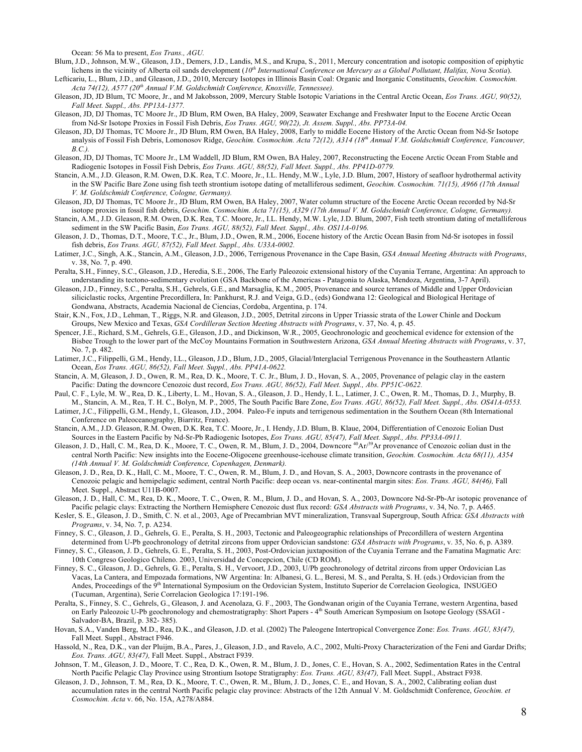Ocean: 56 Ma to present, *Eos Trans., AGU.*

- Blum, J.D., Johnson, M.W., Gleason, J.D., Demers, J.D., Landis, M.S., and Krupa, S., 2011, Mercury concentration and isotopic composition of epiphytic lichens in the vicinity of Alberta oil sands development (10<sup>th</sup> International Conference on Mercury as a Global Pollutant, Halifax, Nova Scotia). Lefticariu, L., Blum, J.D., and Gleason, J.D., 2010, Mercury Isotopes in Illinois Basin Coal: Organic and Inorganic Constituents, *Geochim. Cosmochim.*
- *Acta 74(12), A577 (20th Annual V.M. Goldschmidt Conference, Knoxville, Tennessee).* Gleason, JD, JD Blum, TC Moore, Jr., and M Jakobsson, 2009, Mercury Stable Isotopic Variations in the Central Arctic Ocean, *Eos Trans. AGU, 90(52),*
- *Fall Meet. Suppl., Abs. PP13A-1377.*
- Gleason, JD, DJ Thomas, TC Moore Jr., JD Blum, RM Owen, BA Haley, 2009, Seawater Exchange and Freshwater Input to the Eocene Arctic Ocean from Nd-Sr Isotope Proxies in Fossil Fish Debris, *Eos Trans. AGU, 90(22), Jt. Assem. Suppl., Abs. PP73A-04.*
- Gleason, JD, DJ Thomas, TC Moore Jr., JD Blum, RM Owen, BA Haley, 2008, Early to middle Eocene History of the Arctic Ocean from Nd-Sr Isotope analysis of Fossil Fish Debris, Lomonosov Ridge, *Geochim. Cosmochim. Acta 72(12), A314 (18th Annual V.M. Goldschmidt Conference, Vancouver, B.C.).*
- Gleason, JD, DJ Thomas, TC Moore Jr., LM Waddell, JD Blum, RM Owen, BA Haley, 2007, Reconstructing the Eocene Arctic Ocean From Stable and Radiogenic Isotopes in Fossil Fish Debris, *Eos Trans. AGU, 88(52), Fall Meet. Suppl., Abs. PP41D-0779.*
- Stancin, A.M., J.D. Gleason, R.M. Owen, D.K. Rea, T.C. Moore, Jr., I.L. Hendy, M.W., Lyle, J.D. Blum, 2007, History of seafloor hydrothermal activity in the SW Pacific Bare Zone using fish teeth strontium isotope dating of metalliferous sediment, *Geochim. Cosmochim. 71(15), A966 (17th Annual V. M. Goldschmidt Conference, Cologne, Germany).*
- Gleason, JD, DJ Thomas, TC Moore Jr., JD Blum, RM Owen, BA Haley, 2007, Water column structure of the Eocene Arctic Ocean recorded by Nd-Sr isotope proxies in fossil fish debris, *Geochim. Cosmochim. Acta 71(15), A329 (17th Annual V. M. Goldschmidt Conference, Cologne, Germany).*
- Stancin, A.M., J.D. Gleason, R.M. Owen, D.K. Rea, T.C. Moore, Jr., I.L. Hendy, M.W. Lyle, J.D. Blum, 2007, Fish teeth strontium dating of metalliferous sediment in the SW Pacific Basin, *Eos Trans. AGU, 88(52), Fall Meet. Suppl., Abs. OS11A-0196.*
- Gleason, J. D., Thomas, D.T., Moore, T.C., Jr., Blum, J.D., Owen, R.M., 2006, Eocene history of the Arctic Ocean Basin from Nd-Sr isotopes in fossil fish debris, *Eos Trans. AGU, 87(52), Fall Meet. Suppl., Abs. U33A-0002.*
- Latimer, J.C., Singh, A.K., Stancin, A.M., Gleason, J.D., 2006, Terrigenous Provenance in the Cape Basin, *GSA Annual Meeting Abstracts with Programs*, v. 38, No. 7, p. 490.
- Peralta, S.H., Finney, S.C., Gleason, J.D., Heredia, S.E., 2006, The Early Paleozoic extensional history of the Cuyania Terrane, Argentina: An approach to understanding its tectono-sedimentary evolution (GSA Backbone of the Americas - Patagonia to Alaska, Mendoza, Argentina, 3-7 April).
- Gleason, J.D., Finney, S.C., Peralta, S.H., Gehrels, G.E., and Marsaglia, K.M., 2005, Provenance and source terranes of Middle and Upper Ordovician siliciclastic rocks, Argentine Precordillera, In: Pankhurst, R.J. and Veiga, G.D., (eds) Gondwana 12: Geological and Biological Heritage of Gondwana, Abstracts, Academia Nacional de Ciencias, Cordoba, Argentina, p. 174.
- Stair, K.N., Fox, J.D., Lehman, T., Riggs, N.R. and Gleason, J.D., 2005, Detrital zircons in Upper Triassic strata of the Lower Chinle and Dockum Groups, New Mexico and Texas, *GSA Cordilleran Section Meeting Abstracts with Programs*, v. 37, No. 4, p. 45.
- Spencer, J.E., Richard, S.M., Gehrels, G.E., Gleason, J.D., and Dickinson, W.R., 2005, Geochronologic and geochemical evidence for extension of the Bisbee Trough to the lower part of the McCoy Mountains Formation in Southwestern Arizona, *GSA Annual Meeting Abstracts with Programs*, v. 37, No. 7, p. 482.
- Latimer, J.C., Filippelli, G.M., Hendy, I.L., Gleason, J.D., Blum, J.D., 2005, Glacial/Interglacial Terrigenous Provenance in the Southeastern Atlantic Ocean, *Eos Trans. AGU, 86(52), Fall Meet. Suppl., Abs. PP41A-0622.*
- Stancin, A. M, Gleason, J. D., Owen, R. M., Rea, D. K., Moore, T. C. Jr., Blum, J. D., Hovan, S. A., 2005, Provenance of pelagic clay in the eastern Pacific: Dating the downcore Cenozoic dust record, *Eos Trans. AGU, 86(52), Fall Meet. Suppl., Abs. PP51C-0622.*
- Paul, C. F., Lyle, M. W., Rea, D. K., Liberty, L. M., Hovan, S. A., Gleason, J. D., Hendy, I. L., Latimer, J. C., Owen, R. M., Thomas, D. J., Murphy, B. M., Stancin, A. M., Rea, T. H. C., Bolyn, M. P., 2005, The South Pacific Bare Zone, *Eos Trans. AGU, 86(52), Fall Meet. Suppl., Abs. OS41A-0553.*
- Latimer, J.C., Filippelli, G.M., Hendy, I., Gleason, J.D., 2004. Paleo-Fe inputs and terrigenous sedimentation in the Southern Ocean (8th International Conference on Paleoceanography, Biarritz, France).
- Stancin, A.M., J.D. Gleason, R.M. Owen, D.K. Rea, T.C. Moore, Jr., I. Hendy, J.D. Blum, B. Klaue, 2004, Differentiation of Cenozoic Eolian Dust Sources in the Eastern Pacific by Nd-Sr-Pb Radiogenic Isotopes, *Eos Trans. AGU, 85(47), Fall Meet. Suppl., Abs. PP33A-0911.*
- Gleason, J. D., Hall, C. M., Rea, D. K., Moore, T. C., Owen, R. M., Blum, J. D., 2004, Downcore  ${}^{40}\text{Ar}^{39}\text{Ar}$  provenance of Cenozoic eolian dust in the central North Pacific: New insights into the Eocene-Oligocene greenhouse-icehouse climate transition, *Geochim. Cosmochim. Acta 68(11), A354 (14th Annual V. M. Goldschmidt Conference, Copenhagen, Denmark).*
- Gleason, J. D., Rea, D. K., Hall, C. M., Moore, T. C., Owen, R. M., Blum, J. D., and Hovan, S. A., 2003, Downcore contrasts in the provenance of Cenozoic pelagic and hemipelagic sediment, central North Pacific: deep ocean vs. near-continental margin sites: *Eos. Trans. AGU, 84(46),* Fall Meet. Suppl., Abstract U11B-0007.
- Gleason, J. D., Hall, C. M., Rea, D. K., Moore, T. C., Owen, R. M., Blum, J. D., and Hovan, S. A., 2003, Downcore Nd-Sr-Pb-Ar isotopic provenance of Pacific pelagic clays: Extracting the Northern Hemisphere Cenozoic dust flux record: *GSA Abstracts with Programs*, v. 34, No. 7, p. A465.
- Kesler, S. E., Gleason, J. D., Smith, C. N. et al., 2003, Age of Precambrian MVT mineralization, Transvaal Supergroup, South Africa: *GSA Abstracts with Programs*, v. 34, No. 7, p. A234.
- Finney, S. C., Gleason, J. D., Gehrels, G. E., Peralta, S. H., 2003, Tectonic and Paleogeographic relationships of Precordillera of western Argentina determined from U-Pb geochronology of detrital zircons from upper Ordovician sandstone: *GSA Abstracts with Programs*, v. 35, No. 6, p. A389.
- Finney, S. C., Gleason, J. D., Gehrels, G. E., Peralta, S. H., 2003, Post-Ordovician juxtaposition of the Cuyania Terrane and the Famatina Magmatic Arc: 10th Congreso Geologico Chileno. 2003, Universidad de Concepcion, Chile (CD ROM).
- Finney, S. C., Gleason, J. D., Gehrels, G. E., Peralta, S. H., Vervoort, J.D., 2003, U/Pb geochronology of detrital zircons from upper Ordovician Las Vacas, La Cantera, and Empozada formations, NW Argentina: In: Albanesi, G. L., Beresi, M. S., and Peralta, S. H. (eds.) Ordovician from the Andes, Proceedings of the 9<sup>th</sup> International Symposium on the Ordovician System, Instituto Superior de Correlacion Geologica, INSUGEO (Tucuman, Argentina), Serie Correlacion Geologica 17:191-196.
- Peralta, S., Finney, S. C., Gehrels, G., Gleason, J. and Acenolaza, G. F., 2003, The Gondwanan origin of the Cuyania Terrane, western Argentina, based on Early Paleozoic U-Pb geochronology and chemostratigraphy: Short Papers - 4th South American Symposium on Isotope Geology (SSAGI -Salvador-BA, Brazil, p. 382- 385).
- Hovan, S.A., Vanden Berg, M.D., Rea, D.K., and Gleason, J.D. et al. (2002) The Paleogene Intertropical Convergence Zone: *Eos. Trans. AGU, 83(47),*  Fall Meet. Suppl., Abstract F946.
- Hassold, N., Rea, D.K., van der Pluijm, B.A., Pares, J., Gleason, J.D., and Ravelo, A.C., 2002, Multi-Proxy Characterization of the Feni and Gardar Drifts; *Eos. Trans. AGU, 83(47),* Fall Meet. Suppl., Abstract F939.
- Johnson, T. M., Gleason, J. D., Moore, T. C., Rea, D. K., Owen, R. M., Blum, J. D., Jones, C. E., Hovan, S. A., 2002, Sedimentation Rates in the Central North Pacific Pelagic Clay Province using Strontium Isotope Stratigraphy: *Eos. Trans. AGU, 83(47),* Fall Meet. Suppl., Abstract F938.
- Gleason, J. D., Johnson, T. M., Rea, D. K., Moore, T. C., Owen, R. M., Blum, J. D., Jones, C. E., and Hovan, S. A., 2002, Calibrating eolian dust accumulation rates in the central North Pacific pelagic clay province: Abstracts of the 12th Annual V. M. Goldschmidt Conference, *Geochim. et Cosmochim. Acta* v. 66, No. 15A, A278/A884.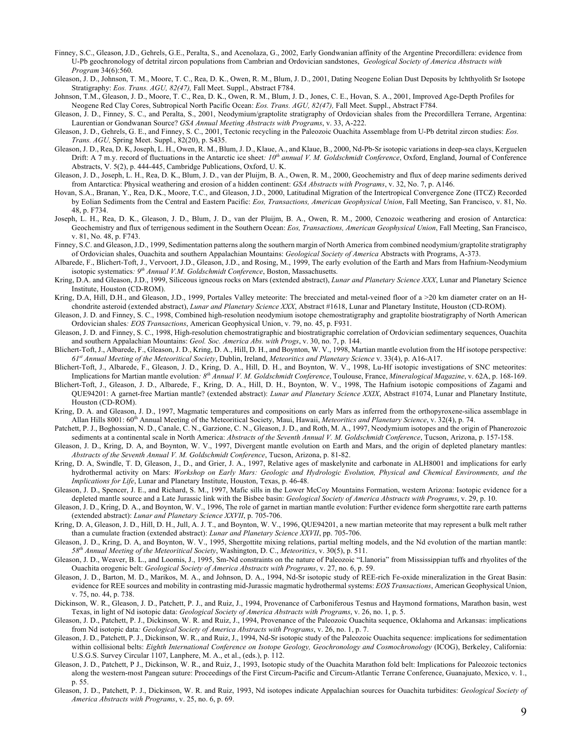- Finney, S.C., Gleason, J.D., Gehrels, G.E., Peralta, S., and Acenolaza, G., 2002, Early Gondwanian affinity of the Argentine Precordillera: evidence from U-Pb geochronology of detrital zircon populations from Cambrian and Ordovician sandstones, *Geological Society of America Abstracts with Program* 34(6):560.
- Gleason, J. D., Johnson, T. M., Moore, T. C., Rea, D. K., Owen, R. M., Blum, J. D., 2001, Dating Neogene Eolian Dust Deposits by Ichthyolith Sr Isotope Stratigraphy: *Eos. Trans. AGU, 82(47),* Fall Meet. Suppl., Abstract F784.
- Johnson, T.M., Gleason, J. D., Moore, T. C., Rea, D. K., Owen, R. M., Blum, J. D., Jones, C. E., Hovan, S. A., 2001, Improved Age-Depth Profiles for Neogene Red Clay Cores, Subtropical North Pacific Ocean: *Eos. Trans. AGU, 82(47),* Fall Meet. Suppl., Abstract F784.
- Gleason, J. D., Finney, S. C., and Peralta, S., 2001, Neodymium/graptolite stratigraphy of Ordovician shales from the Precordillera Terrane, Argentina: Laurentian or Gondwanan Source? *GSA Annual Meeting Abstracts with Programs*, v. 33, A-222.
- Gleason, J. D., Gehrels, G. E., and Finney, S. C., 2001, Tectonic recycling in the Paleozoic Ouachita Assemblage from U-Pb detrital zircon studies: *Eos. Trans. AGU,* Spring Meet. Suppl., 82(20), p. S435.
- Gleason, J. D., Rea, D. K, Joseph, L. H., Owen, R. M., Blum, J. D., Klaue, A., and Klaue, B., 2000, Nd-Pb-Sr isotopic variations in deep-sea clays, Kerguelen Drift: A 7 m.y. record of fluctuations in the Antarctic ice sheet*: 10th annual V. M. Goldschmidt Conference*, Oxford, England, Journal of Conference Abstracts, V. 5(2), p. 444-445, Cambridge Publications, Oxford, U. K.
- Gleason, J. D., Joseph, L. H., Rea, D. K., Blum, J. D., van der Pluijm, B. A., Owen, R. M., 2000, Geochemistry and flux of deep marine sediments derived from Antarctica: Physical weathering and erosion of a hidden continent: *GSA Abstracts with Programs*, v. 32, No. 7, p. A146.
- Hovan, S.A., Branan, Y., Rea, D.K., Moore, T.C., and Gleason, J.D., 2000, Latitudinal Migration of the Intertropical Convergence Zone (ITCZ) Recorded by Eolian Sediments from the Central and Eastern Pacific: *Eos, Transactions, American Geophysical Union*, Fall Meeting, San Francisco, v. 81, No. 48, p. F734.
- Joseph, L. H., Rea, D. K., Gleason, J. D., Blum, J. D., van der Pluijm, B. A., Owen, R. M., 2000, Cenozoic weathering and erosion of Antarctica: Geochemistry and flux of terrigenous sediment in the Southern Ocean: *Eos, Transactions, American Geophysical Union*, Fall Meeting, San Francisco, v. 81, No. 48, p. F743.
- Finney, S.C. and Gleason, J.D., 1999, Sedimentation patterns along the southern margin of North America from combined neodymium/graptolite stratigraphy of Ordovician shales, Ouachita and southern Appalachian Mountains: *Geological Society of America* Abstracts with Programs, A-373.
- Albarede, F., Blichert-Toft, J., Vervoort, J.D., Gleason, J.D., and Rosing, M., 1999, The early evolution of the Earth and Mars from Hafnium-Neodymium isotopic systematics*: 9th Annual V.M. Goldschmidt Conference*, Boston, Massachusetts.
- Kring, D.A. and Gleason, J.D., 1999, Siliceous igneous rocks on Mars (extended abstract), *Lunar and Planetary Science XXX*, Lunar and Planetary Science Institute, Houston (CD-ROM).
- Kring, D.A, Hill, D.H., and Gleason, J.D., 1999, Portales Valley meteorite: The brecciated and metal-veined floor of a >20 km diameter crater on an Hchondrite asteroid (extended abstract), *Lunar and Planetary Science XXX*, Abstract #1618, Lunar and Planetary Institute, Houston (CD-ROM).
- Gleason, J. D. and Finney, S. C., 1998, Combined high-resolution neodymium isotope chemostratigraphy and graptolite biostratigraphy of North American Ordovician shales*: EOS Transactions*, American Geophysical Union, v. 79, no. 45, p. F931.
- Gleason, J. D. and Finney, S. C., 1998, High-resolution chemostratigraphic and biostratigraphic correlation of Ordovician sedimentary sequences, Ouachita and southern Appalachian Mountains: *Geol. Soc. America Abs. with Progs*, v. 30, no. 7, p. 144.
- Blichert-Toft, J., Albarede, F., Gleason, J. D., Kring, D. A., Hill, D. H., and Boynton, W. V., 1998, Martian mantle evolution from the Hf isotope perspective: *61st Annual Meeting of the Meteoritical Society*, Dublin, Ireland, *Meteoritics and Planetary Science* v. 33(4), p. A16-A17.
- Blichert-Toft, J., Albarede, F., Gleason, J. D., Kring, D. A., Hill, D. H., and Boynton, W. V., 1998, Lu-Hf isotopic investigations of SNC meteorites: Implications for Martian mantle evolution*: 8th Annual V. M. Goldschmidt Conference*, Toulouse, France, *Mineralogical Magazine*, v. 62A, p. 168-169.
- Blichert-Toft, J., Gleason, J. D., Albarede, F., Kring, D. A., Hill, D. H., Boynton, W. V., 1998, The Hafnium isotopic compositions of Zagami and QUE94201: A garnet-free Martian mantle? (extended abstract): *Lunar and Planetary Science XXIX*, Abstract #1074, Lunar and Planetary Institute, Houston (CD-ROM).
- Kring, D. A. and Gleason, J. D., 1997, Magmatic temperatures and compositions on early Mars as inferred from the orthopyroxene-silica assemblage in Allan Hills 8001: 60<sup>th</sup> Annual Meeting of the Meteoritical Society, Maui, Hawaii, Meteoritics and Planetary Science, v. 32(4), p. 74.
- Patchett, P. J., Boghossian, N. D., Canale, C. N., Garzione, C. N., Gleason, J. D., and Roth, M. A., 1997, Neodymium isotopes and the origin of Phanerozoic sediments at a continental scale in North America: *Abstracts of the Seventh Annual V. M. Goldschmidt Conference*, Tucson, Arizona, p. 157-158.
- Gleason, J. D., Kring, D. A, and Boynton, W. V., 1997, Divergent mantle evolution on Earth and Mars, and the origin of depleted planetary mantles: *Abstracts of the Seventh Annual V. M. Goldschmidt Conference*, Tucson, Arizona, p. 81-82.
- Kring, D. A, Swindle, T. D, Gleason, J., D., and Grier, J. A., 1997, Relative ages of maskelynite and carbonate in ALH8001 and implications for early hydrothermal activity on Mars: *Workshop on Early Mars: Geologic and Hydrologic Evolution, Physical and Chemical Environments, and the Implications for Life*, Lunar and Planetary Institute, Houston, Texas, p. 46-48.
- Gleason, J. D., Spencer, J. E., and Richard, S. M., 1997, Mafic sills in the Lower McCoy Mountains Formation, western Arizona: Isotopic evidence for a depleted mantle source and a Late Jurassic link with the Bisbee basin: *Geological Society of America Abstracts with Programs*, v. 29, p. 10.
- Gleason, J. D., Kring, D. A., and Boynton, W. V., 1996, The role of garnet in martian mantle evolution: Further evidence form shergottite rare earth patterns (extended abstract): *Lunar and Planetary Science XXVII*, p. 705-706.
- Kring, D. A, Gleason, J. D., Hill, D. H., Jull, A. J. T., and Boynton, W. V., 1996, QUE94201, a new martian meteorite that may represent a bulk melt rather than a cumulate fraction (extended abstract): *Lunar and Planetary Science XXVII*, pp. 705-706.
- Gleason, J. D., Kring, D. A, and Boynton, W. V., 1995, Shergottite mixing relations, partial melting models, and the Nd evolution of the martian mantle: *58th Annual Meeting of the Meteoritical Society*, Washington, D. C., *Meteoritics*, v. 30(5), p. 511.
- Gleason, J. D., Weaver, B. L., and Loomis, J., 1995, Sm-Nd constraints on the nature of Paleozoic "Llanoria" from Mississippian tuffs and rhyolites of the Ouachita orogenic belt: *Geological Society of America Abstracts with Programs*, v. 27, no. 6, p. 59.
- Gleason, J. D., Barton, M. D., Marikos, M. A., and Johnson, D. A., 1994, Nd-Sr isotopic study of REE-rich Fe-oxide mineralization in the Great Basin: evidence for REE sources and mobility in contrasting mid-Jurassic magmatic hydrothermal systems: *EOS Transactions*, American Geophysical Union, v. 75, no. 44, p. 738.
- Dickinson, W. R., Gleason, J. D., Patchett, P. J., and Ruiz, J., 1994, Provenance of Carboniferous Tesnus and Haymond formations, Marathon basin, west Texas, in light of Nd isotopic data: *Geological Society of America Abstracts with Programs*, v. 26, no. 1, p. 5.
- Gleason, J. D., Patchett, P. J., Dickinson, W. R. and Ruiz, J., 1994, Provenance of the Paleozoic Ouachita sequence, Oklahoma and Arkansas: implications from Nd isotopic data*: Geological Society of America Abstracts with Programs*, v. 26, no. 1, p. 7.
- Gleason, J. D., Patchett, P. J., Dickinson, W. R., and Ruiz, J., 1994, Nd-Sr isotopic study of the Paleozoic Ouachita sequence: implications for sedimentation within collisional belts: *Eighth International Conference on Isotope Geology, Geochronology and Cosmochronology* (ICOG), Berkeley, California: U.S.G.S. Survey Circular 1107, Lanphere, M. A., et al., (eds.), p. 112.
- Gleason, J. D., Patchett, P J., Dickinson, W. R., and Ruiz, J., 1993, Isotopic study of the Ouachita Marathon fold belt: Implications for Paleozoic tectonics along the western-most Pangean suture: Proceedings of the First Circum-Pacific and Circum-Atlantic Terrane Conference, Guanajuato, Mexico, v. 1., p. 55.
- Gleason, J. D., Patchett, P. J., Dickinson, W. R. and Ruiz, 1993, Nd isotopes indicate Appalachian sources for Ouachita turbidites: *Geological Society of America Abstracts with Programs*, v. 25, no. 6, p. 69.